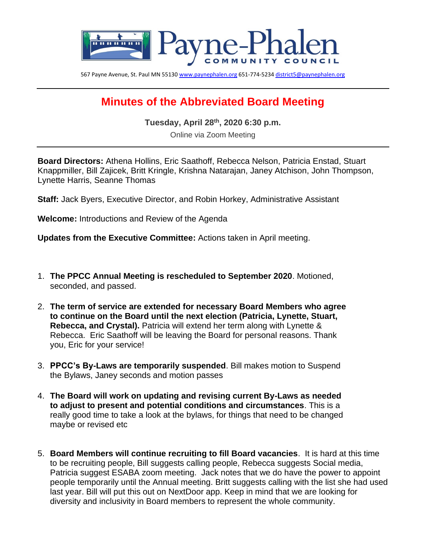

567 Payne Avenue, St. Paul MN 5513[0 www.paynephalen.org](http://www.paynephalen.org/) 651-774-523[4 district5@paynephalen.org](mailto:district5@paynephalen.org)

## **Minutes of the Abbreviated Board Meeting**

**Tuesday, April 28th, 2020 6:30 p.m.**

Online via Zoom Meeting

**Board Directors:** Athena Hollins, Eric Saathoff, Rebecca Nelson, Patricia Enstad, Stuart Knappmiller, Bill Zajicek, Britt Kringle, Krishna Natarajan, Janey Atchison, John Thompson, Lynette Harris, Seanne Thomas

**Staff:** Jack Byers, Executive Director, and Robin Horkey, Administrative Assistant

**Welcome:** Introductions and Review of the Agenda

**Updates from the Executive Committee:** Actions taken in April meeting.

- 1. **The PPCC Annual Meeting is rescheduled to September 2020**. Motioned, seconded, and passed.
- 2. **The term of service are extended for necessary Board Members who agree to continue on the Board until the next election (Patricia, Lynette, Stuart, Rebecca, and Crystal).** Patricia will extend her term along with Lynette & Rebecca. Eric Saathoff will be leaving the Board for personal reasons. Thank you, Eric for your service!
- 3. **PPCC's By-Laws are temporarily suspended**. Bill makes motion to Suspend the Bylaws, Janey seconds and motion passes
- 4. **The Board will work on updating and revising current By-Laws as needed to adjust to present and potential conditions and circumstances**. This is a really good time to take a look at the bylaws, for things that need to be changed maybe or revised etc
- 5. **Board Members will continue recruiting to fill Board vacancies**. It is hard at this time to be recruiting people, Bill suggests calling people, Rebecca suggests Social media, Patricia suggest ESABA zoom meeting. Jack notes that we do have the power to appoint people temporarily until the Annual meeting. Britt suggests calling with the list she had used last year. Bill will put this out on NextDoor app. Keep in mind that we are looking for diversity and inclusivity in Board members to represent the whole community.